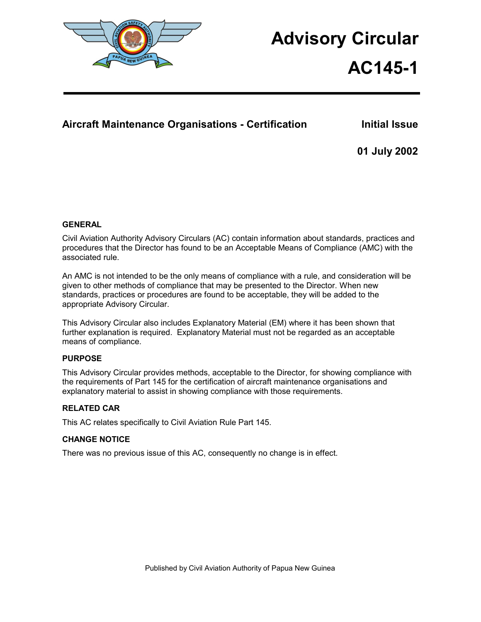

# **Advisory Circular**

# **AC145-1**

# Aircraft Maintenance Organisations - Certification **Initial Issue**

**01 July 2002** 

## **GENERAL**

Civil Aviation Authority Advisory Circulars (AC) contain information about standards, practices and procedures that the Director has found to be an Acceptable Means of Compliance (AMC) with the associated rule.

An AMC is not intended to be the only means of compliance with a rule, and consideration will be given to other methods of compliance that may be presented to the Director. When new standards, practices or procedures are found to be acceptable, they will be added to the appropriate Advisory Circular.

This Advisory Circular also includes Explanatory Material (EM) where it has been shown that further explanation is required. Explanatory Material must not be regarded as an acceptable means of compliance.

## **PURPOSE**

This Advisory Circular provides methods, acceptable to the Director, for showing compliance with the requirements of Part 145 for the certification of aircraft maintenance organisations and explanatory material to assist in showing compliance with those requirements.

## **RELATED CAR**

This AC relates specifically to Civil Aviation Rule Part 145.

## **CHANGE NOTICE**

There was no previous issue of this AC, consequently no change is in effect.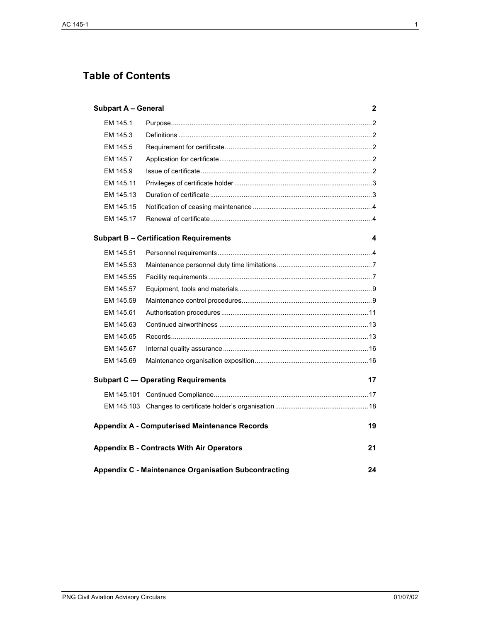# **Table of Contents**

| <b>Subpart A - General</b><br>2                                   |                                               |    |
|-------------------------------------------------------------------|-----------------------------------------------|----|
| EM 145.1                                                          |                                               |    |
| EM 145.3                                                          |                                               |    |
| EM 145.5                                                          |                                               |    |
| EM 145.7                                                          |                                               |    |
| EM 145.9                                                          |                                               |    |
| EM 145.11                                                         |                                               |    |
| EM 145.13                                                         |                                               |    |
| EM 145.15                                                         |                                               |    |
| EM 145.17                                                         |                                               |    |
|                                                                   | <b>Subpart B - Certification Requirements</b> | 4  |
| EM 145.51                                                         |                                               |    |
| EM 145.53                                                         |                                               |    |
| EM 145.55                                                         |                                               |    |
| EM 145.57                                                         |                                               |    |
| EM 145.59                                                         |                                               |    |
| EM 145.61                                                         |                                               |    |
| EM 145.63                                                         |                                               |    |
| EM 145.65                                                         |                                               |    |
| EM 145.67                                                         |                                               |    |
| EM 145.69                                                         |                                               |    |
| <b>Subpart C - Operating Requirements</b>                         |                                               | 17 |
|                                                                   |                                               |    |
|                                                                   |                                               |    |
| <b>Appendix A - Computerised Maintenance Records</b><br>19        |                                               |    |
| <b>Appendix B - Contracts With Air Operators</b>                  |                                               |    |
| <b>Appendix C - Maintenance Organisation Subcontracting</b><br>24 |                                               |    |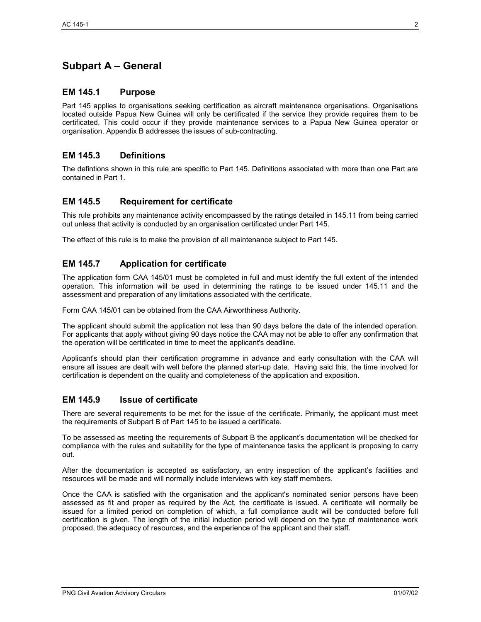# **Subpart A – General**

## **EM 145.1 Purpose**

Part 145 applies to organisations seeking certification as aircraft maintenance organisations. Organisations located outside Papua New Guinea will only be certificated if the service they provide requires them to be certificated. This could occur if they provide maintenance services to a Papua New Guinea operator or organisation. Appendix B addresses the issues of sub-contracting.

## **EM 145.3 Definitions**

The defintions shown in this rule are specific to Part 145. Definitions associated with more than one Part are contained in Part 1.

## **EM 145.5 Requirement for certificate**

This rule prohibits any maintenance activity encompassed by the ratings detailed in 145.11 from being carried out unless that activity is conducted by an organisation certificated under Part 145.

The effect of this rule is to make the provision of all maintenance subject to Part 145.

## **EM 145.7 Application for certificate**

The application form CAA 145/01 must be completed in full and must identify the full extent of the intended operation. This information will be used in determining the ratings to be issued under 145.11 and the assessment and preparation of any limitations associated with the certificate.

Form CAA 145/01 can be obtained from the CAA Airworthiness Authority.

The applicant should submit the application not less than 90 days before the date of the intended operation. For applicants that apply without giving 90 days notice the CAA may not be able to offer any confirmation that the operation will be certificated in time to meet the applicant's deadline.

Applicant's should plan their certification programme in advance and early consultation with the CAA will ensure all issues are dealt with well before the planned start-up date. Having said this, the time involved for certification is dependent on the quality and completeness of the application and exposition.

## **EM 145.9 Issue of certificate**

There are several requirements to be met for the issue of the certificate. Primarily, the applicant must meet the requirements of Subpart B of Part 145 to be issued a certificate.

To be assessed as meeting the requirements of Subpart B the applicant's documentation will be checked for compliance with the rules and suitability for the type of maintenance tasks the applicant is proposing to carry out.

After the documentation is accepted as satisfactory, an entry inspection of the applicant's facilities and resources will be made and will normally include interviews with key staff members.

Once the CAA is satisfied with the organisation and the applicant's nominated senior persons have been assessed as fit and proper as required by the Act, the certificate is issued. A certificate will normally be issued for a limited period on completion of which, a full compliance audit will be conducted before full certification is given. The length of the initial induction period will depend on the type of maintenance work proposed, the adequacy of resources, and the experience of the applicant and their staff.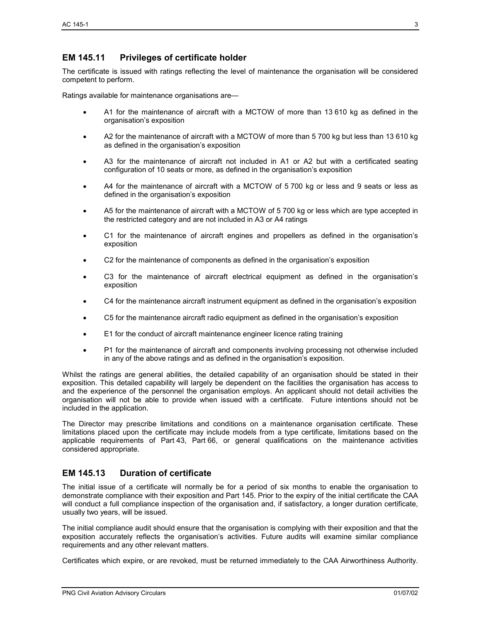## **EM 145.11 Privileges of certificate holder**

The certificate is issued with ratings reflecting the level of maintenance the organisation will be considered competent to perform.

Ratings available for maintenance organisations are—

- A1 for the maintenance of aircraft with a MCTOW of more than 13 610 kg as defined in the organisation's exposition
- A2 for the maintenance of aircraft with a MCTOW of more than 5 700 kg but less than 13 610 kg as defined in the organisation's exposition
- A3 for the maintenance of aircraft not included in A1 or A2 but with a certificated seating configuration of 10 seats or more, as defined in the organisation's exposition
- A4 for the maintenance of aircraft with a MCTOW of 5 700 kg or less and 9 seats or less as defined in the organisation's exposition
- A5 for the maintenance of aircraft with a MCTOW of 5 700 kg or less which are type accepted in the restricted category and are not included in A3 or A4 ratings
- C1 for the maintenance of aircraft engines and propellers as defined in the organisation's exposition
- C2 for the maintenance of components as defined in the organisation's exposition
- C3 for the maintenance of aircraft electrical equipment as defined in the organisation's exposition
- C4 for the maintenance aircraft instrument equipment as defined in the organisation's exposition
- C5 for the maintenance aircraft radio equipment as defined in the organisation's exposition
- E1 for the conduct of aircraft maintenance engineer licence rating training
- P1 for the maintenance of aircraft and components involving processing not otherwise included in any of the above ratings and as defined in the organisation's exposition.

Whilst the ratings are general abilities, the detailed capability of an organisation should be stated in their exposition. This detailed capability will largely be dependent on the facilities the organisation has access to and the experience of the personnel the organisation employs. An applicant should not detail activities the organisation will not be able to provide when issued with a certificate. Future intentions should not be included in the application.

The Director may prescribe limitations and conditions on a maintenance organisation certificate. These limitations placed upon the certificate may include models from a type certificate, limitations based on the applicable requirements of Part 43, Part 66, or general qualifications on the maintenance activities considered appropriate.

## **EM 145.13 Duration of certificate**

The initial issue of a certificate will normally be for a period of six months to enable the organisation to demonstrate compliance with their exposition and Part 145. Prior to the expiry of the initial certificate the CAA will conduct a full compliance inspection of the organisation and, if satisfactory, a longer duration certificate, usually two years, will be issued.

The initial compliance audit should ensure that the organisation is complying with their exposition and that the exposition accurately reflects the organisation's activities. Future audits will examine similar compliance requirements and any other relevant matters.

Certificates which expire, or are revoked, must be returned immediately to the CAA Airworthiness Authority.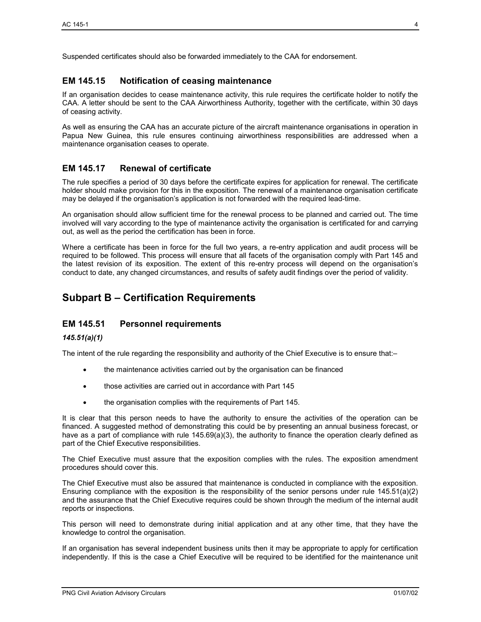## **EM 145.15 Notification of ceasing maintenance**

If an organisation decides to cease maintenance activity, this rule requires the certificate holder to notify the CAA. A letter should be sent to the CAA Airworthiness Authority, together with the certificate, within 30 days of ceasing activity.

As well as ensuring the CAA has an accurate picture of the aircraft maintenance organisations in operation in Papua New Guinea, this rule ensures continuing airworthiness responsibilities are addressed when a maintenance organisation ceases to operate.

## **EM 145.17 Renewal of certificate**

The rule specifies a period of 30 days before the certificate expires for application for renewal. The certificate holder should make provision for this in the exposition. The renewal of a maintenance organisation certificate may be delayed if the organisation's application is not forwarded with the required lead-time.

An organisation should allow sufficient time for the renewal process to be planned and carried out. The time involved will vary according to the type of maintenance activity the organisation is certificated for and carrying out, as well as the period the certification has been in force.

Where a certificate has been in force for the full two years, a re-entry application and audit process will be required to be followed. This process will ensure that all facets of the organisation comply with Part 145 and the latest revision of its exposition. The extent of this re-entry process will depend on the organisation's conduct to date, any changed circumstances, and results of safety audit findings over the period of validity.

# **Subpart B – Certification Requirements**

## **EM 145.51 Personnel requirements**

#### *145.51(a)(1)*

The intent of the rule regarding the responsibility and authority of the Chief Executive is to ensure that:-

- the maintenance activities carried out by the organisation can be financed
- those activities are carried out in accordance with Part 145
- the organisation complies with the requirements of Part 145.

It is clear that this person needs to have the authority to ensure the activities of the operation can be financed. A suggested method of demonstrating this could be by presenting an annual business forecast, or have as a part of compliance with rule 145.69(a)(3), the authority to finance the operation clearly defined as part of the Chief Executive responsibilities.

The Chief Executive must assure that the exposition complies with the rules. The exposition amendment procedures should cover this.

The Chief Executive must also be assured that maintenance is conducted in compliance with the exposition. Ensuring compliance with the exposition is the responsibility of the senior persons under rule 145.51(a)(2) and the assurance that the Chief Executive requires could be shown through the medium of the internal audit reports or inspections.

This person will need to demonstrate during initial application and at any other time, that they have the knowledge to control the organisation.

If an organisation has several independent business units then it may be appropriate to apply for certification independently. If this is the case a Chief Executive will be required to be identified for the maintenance unit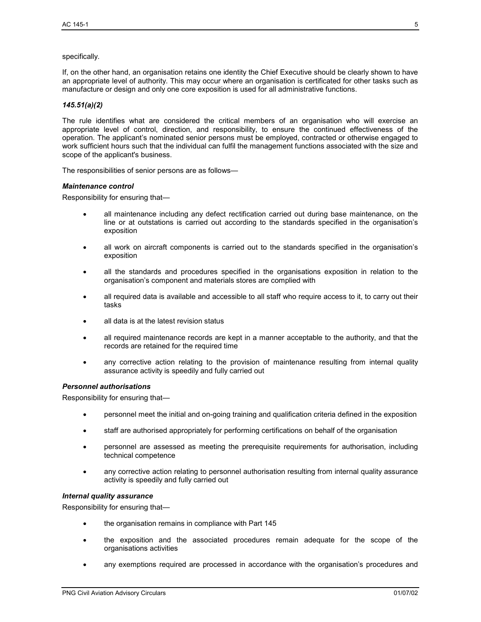#### specifically.

If, on the other hand, an organisation retains one identity the Chief Executive should be clearly shown to have an appropriate level of authority. This may occur where an organisation is certificated for other tasks such as manufacture or design and only one core exposition is used for all administrative functions.

#### *145.51(a)(2)*

The rule identifies what are considered the critical members of an organisation who will exercise an appropriate level of control, direction, and responsibility, to ensure the continued effectiveness of the operation. The applicant's nominated senior persons must be employed, contracted or otherwise engaged to work sufficient hours such that the individual can fulfil the management functions associated with the size and scope of the applicant's business.

The responsibilities of senior persons are as follows—

#### *Maintenance control*

Responsibility for ensuring that—

- all maintenance including any defect rectification carried out during base maintenance, on the line or at outstations is carried out according to the standards specified in the organisation's exposition
- all work on aircraft components is carried out to the standards specified in the organisation's exposition
- all the standards and procedures specified in the organisations exposition in relation to the organisation's component and materials stores are complied with
- all required data is available and accessible to all staff who require access to it, to carry out their tasks
- all data is at the latest revision status
- all required maintenance records are kept in a manner acceptable to the authority, and that the records are retained for the required time
- any corrective action relating to the provision of maintenance resulting from internal quality assurance activity is speedily and fully carried out

#### *Personnel authorisations*

Responsibility for ensuring that—

- personnel meet the initial and on-going training and qualification criteria defined in the exposition
- staff are authorised appropriately for performing certifications on behalf of the organisation
- personnel are assessed as meeting the prerequisite requirements for authorisation, including technical competence
- any corrective action relating to personnel authorisation resulting from internal quality assurance activity is speedily and fully carried out

#### *Internal quality assurance*

Responsibility for ensuring that—

- the organisation remains in compliance with Part 145
- the exposition and the associated procedures remain adequate for the scope of the organisations activities
- any exemptions required are processed in accordance with the organisation's procedures and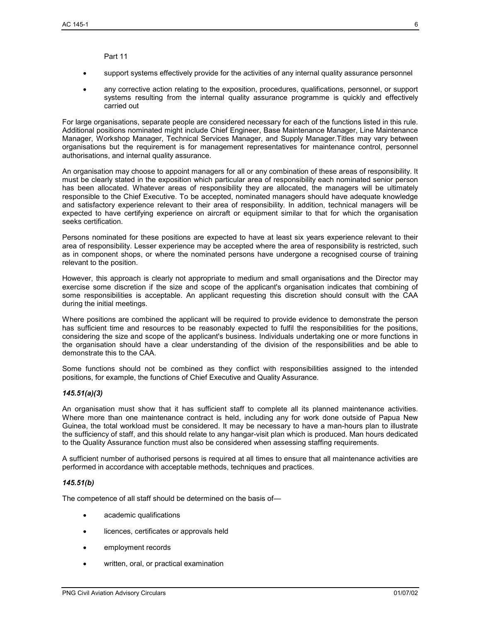Part 11

- support systems effectively provide for the activities of any internal quality assurance personnel
- any corrective action relating to the exposition, procedures, qualifications, personnel, or support systems resulting from the internal quality assurance programme is quickly and effectively carried out

For large organisations, separate people are considered necessary for each of the functions listed in this rule. Additional positions nominated might include Chief Engineer, Base Maintenance Manager, Line Maintenance Manager, Workshop Manager, Technical Services Manager, and Supply Manager.Titles may vary between organisations but the requirement is for management representatives for maintenance control, personnel authorisations, and internal quality assurance.

An organisation may choose to appoint managers for all or any combination of these areas of responsibility. It must be clearly stated in the exposition which particular area of responsibility each nominated senior person has been allocated. Whatever areas of responsibility they are allocated, the managers will be ultimately responsible to the Chief Executive. To be accepted, nominated managers should have adequate knowledge and satisfactory experience relevant to their area of responsibility. In addition, technical managers will be expected to have certifying experience on aircraft or equipment similar to that for which the organisation seeks certification.

Persons nominated for these positions are expected to have at least six years experience relevant to their area of responsibility. Lesser experience may be accepted where the area of responsibility is restricted, such as in component shops, or where the nominated persons have undergone a recognised course of training relevant to the position.

However, this approach is clearly not appropriate to medium and small organisations and the Director may exercise some discretion if the size and scope of the applicant's organisation indicates that combining of some responsibilities is acceptable. An applicant requesting this discretion should consult with the CAA during the initial meetings.

Where positions are combined the applicant will be required to provide evidence to demonstrate the person has sufficient time and resources to be reasonably expected to fulfil the responsibilities for the positions, considering the size and scope of the applicant's business. Individuals undertaking one or more functions in the organisation should have a clear understanding of the division of the responsibilities and be able to demonstrate this to the CAA.

Some functions should not be combined as they conflict with responsibilities assigned to the intended positions, for example, the functions of Chief Executive and Quality Assurance.

#### *145.51(a)(3)*

An organisation must show that it has sufficient staff to complete all its planned maintenance activities. Where more than one maintenance contract is held, including any for work done outside of Papua New Guinea, the total workload must be considered. It may be necessary to have a man-hours plan to illustrate the sufficiency of staff, and this should relate to any hangar-visit plan which is produced. Man hours dedicated to the Quality Assurance function must also be considered when assessing staffing requirements.

A sufficient number of authorised persons is required at all times to ensure that all maintenance activities are performed in accordance with acceptable methods, techniques and practices.

#### *145.51(b)*

The competence of all staff should be determined on the basis of—

- academic qualifications
- licences, certificates or approvals held
- employment records
- written, oral, or practical examination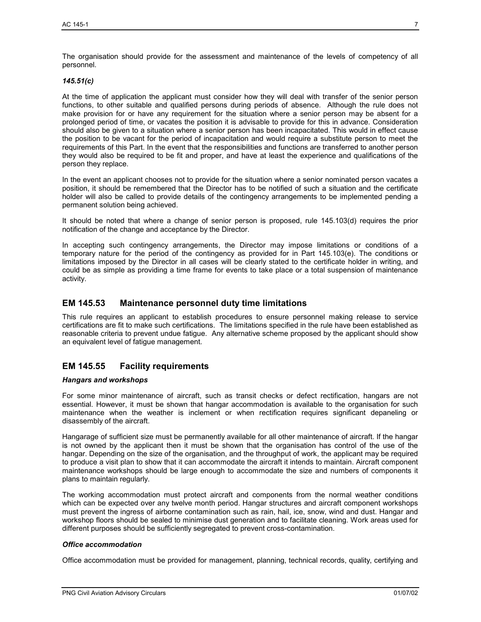The organisation should provide for the assessment and maintenance of the levels of competency of all personnel.

#### *145.51(c)*

At the time of application the applicant must consider how they will deal with transfer of the senior person functions, to other suitable and qualified persons during periods of absence. Although the rule does not make provision for or have any requirement for the situation where a senior person may be absent for a prolonged period of time, or vacates the position it is advisable to provide for this in advance. Consideration should also be given to a situation where a senior person has been incapacitated. This would in effect cause the position to be vacant for the period of incapacitation and would require a substitute person to meet the requirements of this Part. In the event that the responsibilities and functions are transferred to another person they would also be required to be fit and proper, and have at least the experience and qualifications of the person they replace.

In the event an applicant chooses not to provide for the situation where a senior nominated person vacates a position, it should be remembered that the Director has to be notified of such a situation and the certificate holder will also be called to provide details of the contingency arrangements to be implemented pending a permanent solution being achieved.

It should be noted that where a change of senior person is proposed, rule 145.103(d) requires the prior notification of the change and acceptance by the Director.

In accepting such contingency arrangements, the Director may impose limitations or conditions of a temporary nature for the period of the contingency as provided for in Part 145.103(e). The conditions or limitations imposed by the Director in all cases will be clearly stated to the certificate holder in writing, and could be as simple as providing a time frame for events to take place or a total suspension of maintenance activity.

## **EM 145.53 Maintenance personnel duty time limitations**

This rule requires an applicant to establish procedures to ensure personnel making release to service certifications are fit to make such certifications. The limitations specified in the rule have been established as reasonable criteria to prevent undue fatigue. Any alternative scheme proposed by the applicant should show an equivalent level of fatigue management.

## **EM 145.55 Facility requirements**

#### *Hangars and workshops*

For some minor maintenance of aircraft, such as transit checks or defect rectification, hangars are not essential. However, it must be shown that hangar accommodation is available to the organisation for such maintenance when the weather is inclement or when rectification requires significant depaneling or disassembly of the aircraft.

Hangarage of sufficient size must be permanently available for all other maintenance of aircraft. If the hangar is not owned by the applicant then it must be shown that the organisation has control of the use of the hangar. Depending on the size of the organisation, and the throughput of work, the applicant may be required to produce a visit plan to show that it can accommodate the aircraft it intends to maintain. Aircraft component maintenance workshops should be large enough to accommodate the size and numbers of components it plans to maintain regularly.

The working accommodation must protect aircraft and components from the normal weather conditions which can be expected over any twelve month period. Hangar structures and aircraft component workshops must prevent the ingress of airborne contamination such as rain, hail, ice, snow, wind and dust. Hangar and workshop floors should be sealed to minimise dust generation and to facilitate cleaning. Work areas used for different purposes should be sufficiently segregated to prevent cross-contamination.

#### *Office accommodation*

Office accommodation must be provided for management, planning, technical records, quality, certifying and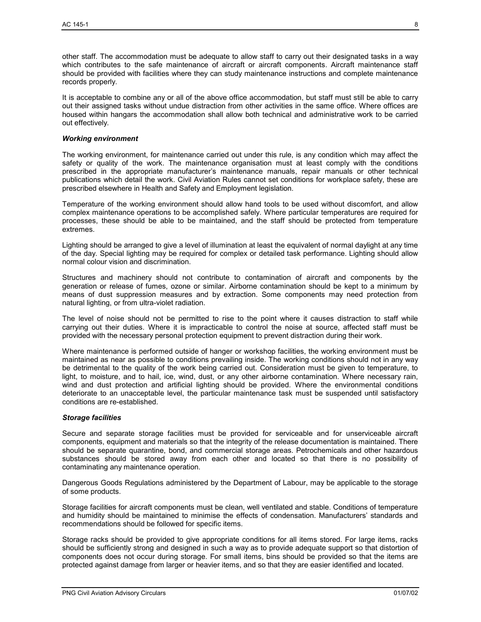other staff. The accommodation must be adequate to allow staff to carry out their designated tasks in a way which contributes to the safe maintenance of aircraft or aircraft components. Aircraft maintenance staff should be provided with facilities where they can study maintenance instructions and complete maintenance records properly.

It is acceptable to combine any or all of the above office accommodation, but staff must still be able to carry out their assigned tasks without undue distraction from other activities in the same office. Where offices are housed within hangars the accommodation shall allow both technical and administrative work to be carried out effectively.

#### *Working environment*

The working environment, for maintenance carried out under this rule, is any condition which may affect the safety or quality of the work. The maintenance organisation must at least comply with the conditions prescribed in the appropriate manufacturer's maintenance manuals, repair manuals or other technical publications which detail the work. Civil Aviation Rules cannot set conditions for workplace safety, these are prescribed elsewhere in Health and Safety and Employment legislation.

Temperature of the working environment should allow hand tools to be used without discomfort, and allow complex maintenance operations to be accomplished safely. Where particular temperatures are required for processes, these should be able to be maintained, and the staff should be protected from temperature extremes.

Lighting should be arranged to give a level of illumination at least the equivalent of normal daylight at any time of the day. Special lighting may be required for complex or detailed task performance. Lighting should allow normal colour vision and discrimination.

Structures and machinery should not contribute to contamination of aircraft and components by the generation or release of fumes, ozone or similar. Airborne contamination should be kept to a minimum by means of dust suppression measures and by extraction. Some components may need protection from natural lighting, or from ultra-violet radiation.

The level of noise should not be permitted to rise to the point where it causes distraction to staff while carrying out their duties. Where it is impracticable to control the noise at source, affected staff must be provided with the necessary personal protection equipment to prevent distraction during their work.

Where maintenance is performed outside of hanger or workshop facilities, the working environment must be maintained as near as possible to conditions prevailing inside. The working conditions should not in any way be detrimental to the quality of the work being carried out. Consideration must be given to temperature, to light, to moisture, and to hail, ice, wind, dust, or any other airborne contamination. Where necessary rain, wind and dust protection and artificial lighting should be provided. Where the environmental conditions deteriorate to an unacceptable level, the particular maintenance task must be suspended until satisfactory conditions are re-established.

#### *Storage facilities*

Secure and separate storage facilities must be provided for serviceable and for unserviceable aircraft components, equipment and materials so that the integrity of the release documentation is maintained. There should be separate quarantine, bond, and commercial storage areas. Petrochemicals and other hazardous substances should be stored away from each other and located so that there is no possibility of contaminating any maintenance operation.

Dangerous Goods Regulations administered by the Department of Labour, may be applicable to the storage of some products.

Storage facilities for aircraft components must be clean, well ventilated and stable. Conditions of temperature and humidity should be maintained to minimise the effects of condensation. Manufacturers' standards and recommendations should be followed for specific items.

Storage racks should be provided to give appropriate conditions for all items stored. For large items, racks should be sufficiently strong and designed in such a way as to provide adequate support so that distortion of components does not occur during storage. For small items, bins should be provided so that the items are protected against damage from larger or heavier items, and so that they are easier identified and located.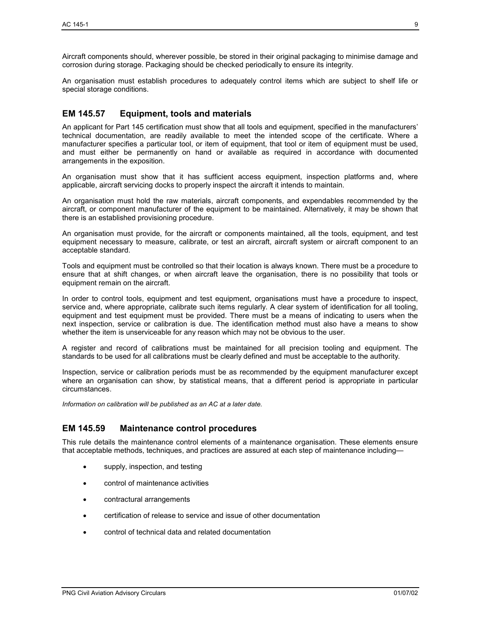Aircraft components should, wherever possible, be stored in their original packaging to minimise damage and corrosion during storage. Packaging should be checked periodically to ensure its integrity.

An organisation must establish procedures to adequately control items which are subject to shelf life or special storage conditions.

## **EM 145.57 Equipment, tools and materials**

An applicant for Part 145 certification must show that all tools and equipment, specified in the manufacturers' technical documentation, are readily available to meet the intended scope of the certificate. Where a manufacturer specifies a particular tool, or item of equipment, that tool or item of equipment must be used, and must either be permanently on hand or available as required in accordance with documented arrangements in the exposition.

An organisation must show that it has sufficient access equipment, inspection platforms and, where applicable, aircraft servicing docks to properly inspect the aircraft it intends to maintain.

An organisation must hold the raw materials, aircraft components, and expendables recommended by the aircraft, or component manufacturer of the equipment to be maintained. Alternatively, it may be shown that there is an established provisioning procedure.

An organisation must provide, for the aircraft or components maintained, all the tools, equipment, and test equipment necessary to measure, calibrate, or test an aircraft, aircraft system or aircraft component to an acceptable standard.

Tools and equipment must be controlled so that their location is always known. There must be a procedure to ensure that at shift changes, or when aircraft leave the organisation, there is no possibility that tools or equipment remain on the aircraft.

In order to control tools, equipment and test equipment, organisations must have a procedure to inspect, service and, where appropriate, calibrate such items regularly. A clear system of identification for all tooling, equipment and test equipment must be provided. There must be a means of indicating to users when the next inspection, service or calibration is due. The identification method must also have a means to show whether the item is unserviceable for any reason which may not be obvious to the user.

A register and record of calibrations must be maintained for all precision tooling and equipment. The standards to be used for all calibrations must be clearly defined and must be acceptable to the authority.

Inspection, service or calibration periods must be as recommended by the equipment manufacturer except where an organisation can show, by statistical means, that a different period is appropriate in particular circumstances.

*Information on calibration will be published as an AC at a later date.* 

#### **EM 145.59 Maintenance control procedures**

This rule details the maintenance control elements of a maintenance organisation. These elements ensure that acceptable methods, techniques, and practices are assured at each step of maintenance including—

- supply, inspection, and testing
- control of maintenance activities
- contractural arrangements
- certification of release to service and issue of other documentation
- control of technical data and related documentation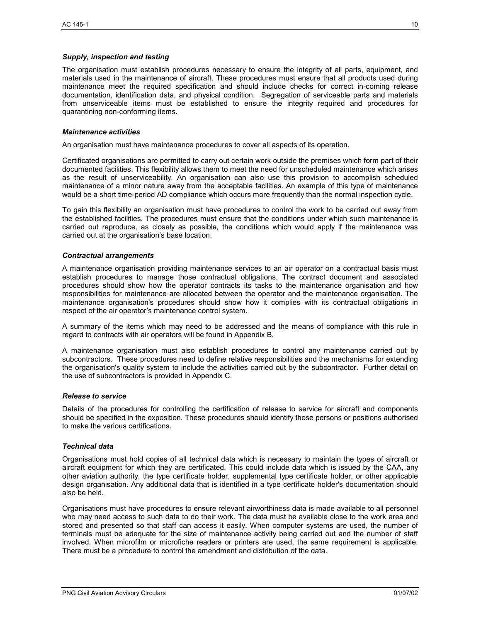#### *Supply, inspection and testing*

The organisation must establish procedures necessary to ensure the integrity of all parts, equipment, and materials used in the maintenance of aircraft. These procedures must ensure that all products used during maintenance meet the required specification and should include checks for correct in-coming release documentation, identification data, and physical condition. Segregation of serviceable parts and materials from unserviceable items must be established to ensure the integrity required and procedures for quarantining non-conforming items.

#### *Maintenance activities*

An organisation must have maintenance procedures to cover all aspects of its operation.

Certificated organisations are permitted to carry out certain work outside the premises which form part of their documented facilities. This flexibility allows them to meet the need for unscheduled maintenance which arises as the result of unserviceability. An organisation can also use this provision to accomplish scheduled maintenance of a minor nature away from the acceptable facilities. An example of this type of maintenance would be a short time-period AD compliance which occurs more frequently than the normal inspection cycle.

To gain this flexibility an organisation must have procedures to control the work to be carried out away from the established facilities. The procedures must ensure that the conditions under which such maintenance is carried out reproduce, as closely as possible, the conditions which would apply if the maintenance was carried out at the organisation's base location.

#### *Contractual arrangements*

A maintenance organisation providing maintenance services to an air operator on a contractual basis must establish procedures to manage those contractual obligations. The contract document and associated procedures should show how the operator contracts its tasks to the maintenance organisation and how responsibilities for maintenance are allocated between the operator and the maintenance organisation. The maintenance organisation's procedures should show how it complies with its contractual obligations in respect of the air operator's maintenance control system.

A summary of the items which may need to be addressed and the means of compliance with this rule in regard to contracts with air operators will be found in Appendix B.

A maintenance organisation must also establish procedures to control any maintenance carried out by subcontractors. These procedures need to define relative responsibilities and the mechanisms for extending the organisation's quality system to include the activities carried out by the subcontractor. Further detail on the use of subcontractors is provided in Appendix C.

#### *Release to service*

Details of the procedures for controlling the certification of release to service for aircraft and components should be specified in the exposition. These procedures should identify those persons or positions authorised to make the various certifications.

#### *Technical data*

Organisations must hold copies of all technical data which is necessary to maintain the types of aircraft or aircraft equipment for which they are certificated. This could include data which is issued by the CAA, any other aviation authority, the type certificate holder, supplemental type certificate holder, or other applicable design organisation. Any additional data that is identified in a type certificate holder's documentation should also be held.

Organisations must have procedures to ensure relevant airworthiness data is made available to all personnel who may need access to such data to do their work. The data must be available close to the work area and stored and presented so that staff can access it easily. When computer systems are used, the number of terminals must be adequate for the size of maintenance activity being carried out and the number of staff involved. When microfilm or microfiche readers or printers are used, the same requirement is applicable. There must be a procedure to control the amendment and distribution of the data.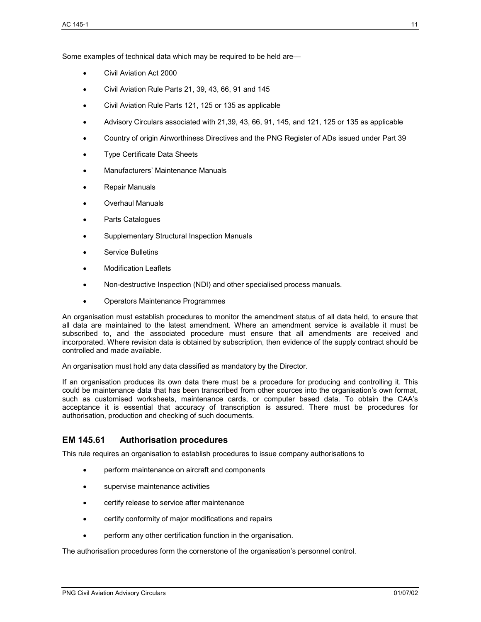Some examples of technical data which may be required to be held are—

- Civil Aviation Act 2000
- Civil Aviation Rule Parts 21, 39, 43, 66, 91 and 145
- Civil Aviation Rule Parts 121, 125 or 135 as applicable
- Advisory Circulars associated with 21,39, 43, 66, 91, 145, and 121, 125 or 135 as applicable
- Country of origin Airworthiness Directives and the PNG Register of ADs issued under Part 39
- Type Certificate Data Sheets
- Manufacturers' Maintenance Manuals
- Repair Manuals
- Overhaul Manuals
- Parts Catalogues
- Supplementary Structural Inspection Manuals
- Service Bulletins
- Modification Leaflets
- Non-destructive Inspection (NDI) and other specialised process manuals.
- Operators Maintenance Programmes

An organisation must establish procedures to monitor the amendment status of all data held, to ensure that all data are maintained to the latest amendment. Where an amendment service is available it must be subscribed to, and the associated procedure must ensure that all amendments are received and incorporated. Where revision data is obtained by subscription, then evidence of the supply contract should be controlled and made available.

An organisation must hold any data classified as mandatory by the Director.

If an organisation produces its own data there must be a procedure for producing and controlling it. This could be maintenance data that has been transcribed from other sources into the organisation's own format, such as customised worksheets, maintenance cards, or computer based data. To obtain the CAA's acceptance it is essential that accuracy of transcription is assured. There must be procedures for authorisation, production and checking of such documents.

## **EM 145.61 Authorisation procedures**

This rule requires an organisation to establish procedures to issue company authorisations to

- perform maintenance on aircraft and components
- supervise maintenance activities
- certify release to service after maintenance
- certify conformity of major modifications and repairs
- perform any other certification function in the organisation.

The authorisation procedures form the cornerstone of the organisation's personnel control.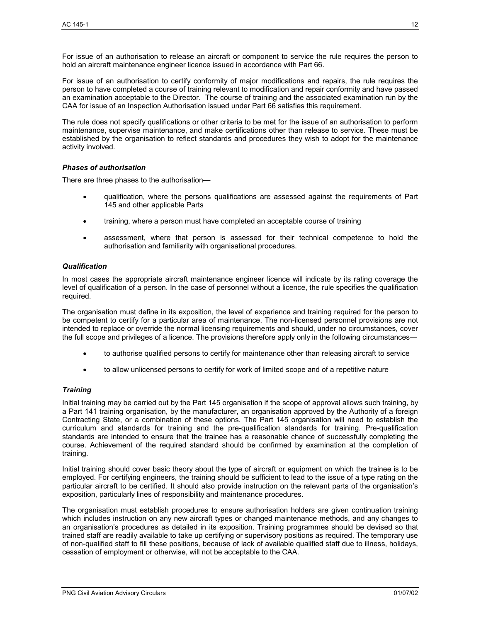For issue of an authorisation to release an aircraft or component to service the rule requires the person to hold an aircraft maintenance engineer licence issued in accordance with Part 66.

For issue of an authorisation to certify conformity of major modifications and repairs, the rule requires the person to have completed a course of training relevant to modification and repair conformity and have passed an examination acceptable to the Director. The course of training and the associated examination run by the CAA for issue of an Inspection Authorisation issued under Part 66 satisfies this requirement.

The rule does not specify qualifications or other criteria to be met for the issue of an authorisation to perform maintenance, supervise maintenance, and make certifications other than release to service. These must be established by the organisation to reflect standards and procedures they wish to adopt for the maintenance activity involved.

#### *Phases of authorisation*

There are three phases to the authorisation—

- qualification, where the persons qualifications are assessed against the requirements of Part 145 and other applicable Parts
- training, where a person must have completed an acceptable course of training
- assessment, where that person is assessed for their technical competence to hold the authorisation and familiarity with organisational procedures.

#### *Qualification*

In most cases the appropriate aircraft maintenance engineer licence will indicate by its rating coverage the level of qualification of a person. In the case of personnel without a licence, the rule specifies the qualification required.

The organisation must define in its exposition, the level of experience and training required for the person to be competent to certify for a particular area of maintenance. The non-licensed personnel provisions are not intended to replace or override the normal licensing requirements and should, under no circumstances, cover the full scope and privileges of a licence. The provisions therefore apply only in the following circumstances—

- to authorise qualified persons to certify for maintenance other than releasing aircraft to service
- to allow unlicensed persons to certify for work of limited scope and of a repetitive nature

#### *Training*

Initial training may be carried out by the Part 145 organisation if the scope of approval allows such training, by a Part 141 training organisation, by the manufacturer, an organisation approved by the Authority of a foreign Contracting State, or a combination of these options. The Part 145 organisation will need to establish the curriculum and standards for training and the pre-qualification standards for training. Pre-qualification standards are intended to ensure that the trainee has a reasonable chance of successfully completing the course. Achievement of the required standard should be confirmed by examination at the completion of training.

Initial training should cover basic theory about the type of aircraft or equipment on which the trainee is to be employed. For certifying engineers, the training should be sufficient to lead to the issue of a type rating on the particular aircraft to be certified. It should also provide instruction on the relevant parts of the organisation's exposition, particularly lines of responsibility and maintenance procedures.

The organisation must establish procedures to ensure authorisation holders are given continuation training which includes instruction on any new aircraft types or changed maintenance methods, and any changes to an organisation's procedures as detailed in its exposition. Training programmes should be devised so that trained staff are readily available to take up certifying or supervisory positions as required. The temporary use of non-qualified staff to fill these positions, because of lack of available qualified staff due to illness, holidays, cessation of employment or otherwise, will not be acceptable to the CAA.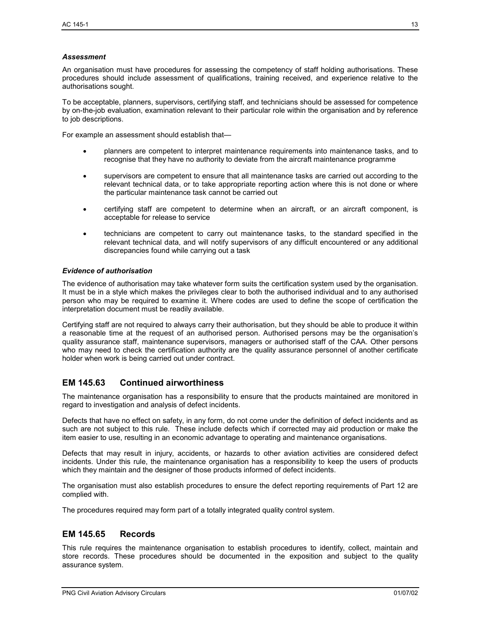#### *Assessment*

An organisation must have procedures for assessing the competency of staff holding authorisations. These procedures should include assessment of qualifications, training received, and experience relative to the authorisations sought.

To be acceptable, planners, supervisors, certifying staff, and technicians should be assessed for competence by on-the-job evaluation, examination relevant to their particular role within the organisation and by reference to job descriptions.

For example an assessment should establish that—

- planners are competent to interpret maintenance requirements into maintenance tasks, and to recognise that they have no authority to deviate from the aircraft maintenance programme
- supervisors are competent to ensure that all maintenance tasks are carried out according to the relevant technical data, or to take appropriate reporting action where this is not done or where the particular maintenance task cannot be carried out
- certifying staff are competent to determine when an aircraft, or an aircraft component, is acceptable for release to service
- technicians are competent to carry out maintenance tasks, to the standard specified in the relevant technical data, and will notify supervisors of any difficult encountered or any additional discrepancies found while carrying out a task

#### *Evidence of authorisation*

The evidence of authorisation may take whatever form suits the certification system used by the organisation. It must be in a style which makes the privileges clear to both the authorised individual and to any authorised person who may be required to examine it. Where codes are used to define the scope of certification the interpretation document must be readily available.

Certifying staff are not required to always carry their authorisation, but they should be able to produce it within a reasonable time at the request of an authorised person. Authorised persons may be the organisation's quality assurance staff, maintenance supervisors, managers or authorised staff of the CAA. Other persons who may need to check the certification authority are the quality assurance personnel of another certificate holder when work is being carried out under contract.

## **EM 145.63 Continued airworthiness**

The maintenance organisation has a responsibility to ensure that the products maintained are monitored in regard to investigation and analysis of defect incidents.

Defects that have no effect on safety, in any form, do not come under the definition of defect incidents and as such are not subject to this rule. These include defects which if corrected may aid production or make the item easier to use, resulting in an economic advantage to operating and maintenance organisations.

Defects that may result in injury, accidents, or hazards to other aviation activities are considered defect incidents. Under this rule, the maintenance organisation has a responsibility to keep the users of products which they maintain and the designer of those products informed of defect incidents.

The organisation must also establish procedures to ensure the defect reporting requirements of Part 12 are complied with.

The procedures required may form part of a totally integrated quality control system.

## **EM 145.65 Records**

This rule requires the maintenance organisation to establish procedures to identify, collect, maintain and store records. These procedures should be documented in the exposition and subject to the quality assurance system.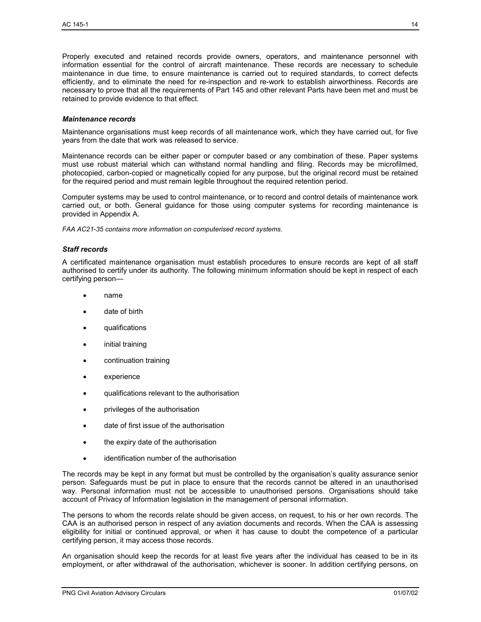Properly executed and retained records provide owners, operators, and maintenance personnel with information essential for the control of aircraft maintenance. These records are necessary to schedule maintenance in due time, to ensure maintenance is carried out to required standards, to correct defects efficiently, and to eliminate the need for re-inspection and re-work to establish airworthiness. Records are necessary to prove that all the requirements of Part 145 and other relevant Parts have been met and must be retained to provide evidence to that effect.

#### *Maintenance records*

Maintenance organisations must keep records of all maintenance work, which they have carried out, for five years from the date that work was released to service.

Maintenance records can be either paper or computer based or any combination of these. Paper systems must use robust material which can withstand normal handling and filing. Records may be microfilmed, photocopied, carbon-copied or magnetically copied for any purpose, but the original record must be retained for the required period and must remain legible throughout the required retention period.

Computer systems may be used to control maintenance, or to record and control details of maintenance work carried out, or both. General guidance for those using computer systems for recording maintenance is provided in Appendix A.

*FAA AC21-35 contains more information on computerised record systems.* 

#### *Staff records*

A certificated maintenance organisation must establish procedures to ensure records are kept of all staff authorised to certify under its authority. The following minimum information should be kept in respect of each certifying person—

- name
- date of birth
- qualifications
- initial training
- continuation training
- experience
- qualifications relevant to the authorisation
- privileges of the authorisation
- date of first issue of the authorisation
- the expiry date of the authorisation
- identification number of the authorisation

The records may be kept in any format but must be controlled by the organisation's quality assurance senior person. Safeguards must be put in place to ensure that the records cannot be altered in an unauthorised way. Personal information must not be accessible to unauthorised persons. Organisations should take account of Privacy of Information legislation in the management of personal information.

The persons to whom the records relate should be given access, on request, to his or her own records. The CAA is an authorised person in respect of any aviation documents and records. When the CAA is assessing eligibility for initial or continued approval, or when it has cause to doubt the competence of a particular certifying person, it may access those records.

An organisation should keep the records for at least five years after the individual has ceased to be in its employment, or after withdrawal of the authorisation, whichever is sooner. In addition certifying persons, on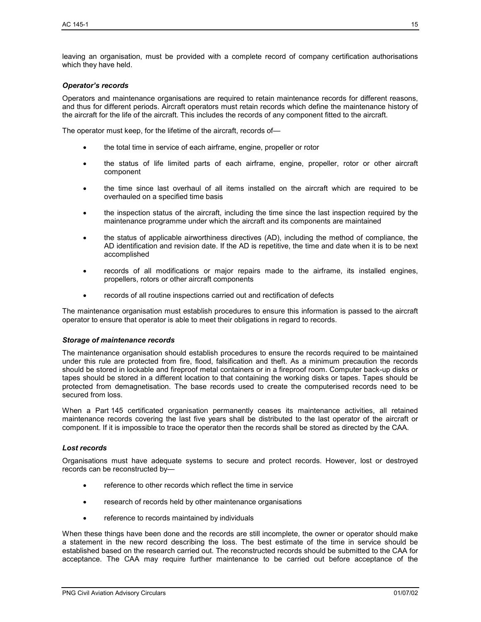leaving an organisation, must be provided with a complete record of company certification authorisations which they have held.

#### *Operator's records*

Operators and maintenance organisations are required to retain maintenance records for different reasons, and thus for different periods. Aircraft operators must retain records which define the maintenance history of the aircraft for the life of the aircraft. This includes the records of any component fitted to the aircraft.

The operator must keep, for the lifetime of the aircraft, records of—

- the total time in service of each airframe, engine, propeller or rotor
- the status of life limited parts of each airframe, engine, propeller, rotor or other aircraft component
- the time since last overhaul of all items installed on the aircraft which are required to be overhauled on a specified time basis
- the inspection status of the aircraft, including the time since the last inspection required by the maintenance programme under which the aircraft and its components are maintained
- the status of applicable airworthiness directives (AD), including the method of compliance, the AD identification and revision date. If the AD is repetitive, the time and date when it is to be next accomplished
- records of all modifications or major repairs made to the airframe, its installed engines, propellers, rotors or other aircraft components
- records of all routine inspections carried out and rectification of defects

The maintenance organisation must establish procedures to ensure this information is passed to the aircraft operator to ensure that operator is able to meet their obligations in regard to records.

#### *Storage of maintenance records*

The maintenance organisation should establish procedures to ensure the records required to be maintained under this rule are protected from fire, flood, falsification and theft. As a minimum precaution the records should be stored in lockable and fireproof metal containers or in a fireproof room. Computer back-up disks or tapes should be stored in a different location to that containing the working disks or tapes. Tapes should be protected from demagnetisation. The base records used to create the computerised records need to be secured from loss.

When a Part 145 certificated organisation permanently ceases its maintenance activities, all retained maintenance records covering the last five years shall be distributed to the last operator of the aircraft or component. If it is impossible to trace the operator then the records shall be stored as directed by the CAA.

#### *Lost records*

Organisations must have adequate systems to secure and protect records. However, lost or destroyed records can be reconstructed by—

- reference to other records which reflect the time in service
- research of records held by other maintenance organisations
- reference to records maintained by individuals

When these things have been done and the records are still incomplete, the owner or operator should make a statement in the new record describing the loss. The best estimate of the time in service should be established based on the research carried out. The reconstructed records should be submitted to the CAA for acceptance. The CAA may require further maintenance to be carried out before acceptance of the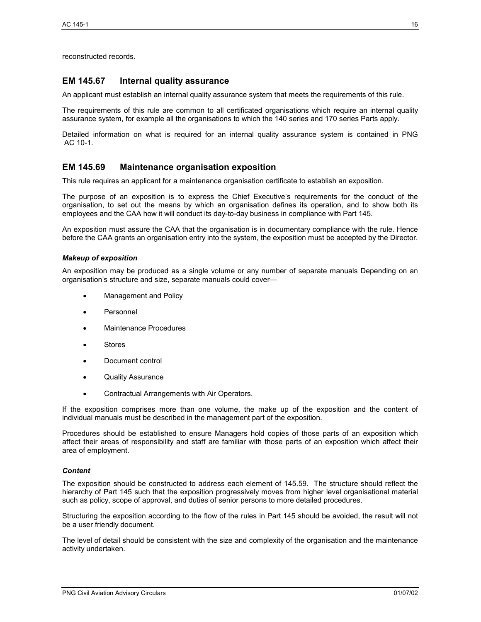reconstructed records.

## **EM 145.67 Internal quality assurance**

An applicant must establish an internal quality assurance system that meets the requirements of this rule.

The requirements of this rule are common to all certificated organisations which require an internal quality assurance system, for example all the organisations to which the 140 series and 170 series Parts apply.

Detailed information on what is required for an internal quality assurance system is contained in PNG AC 10-1.

## **EM 145.69 Maintenance organisation exposition**

This rule requires an applicant for a maintenance organisation certificate to establish an exposition.

The purpose of an exposition is to express the Chief Executive's requirements for the conduct of the organisation, to set out the means by which an organisation defines its operation, and to show both its employees and the CAA how it will conduct its day-to-day business in compliance with Part 145.

An exposition must assure the CAA that the organisation is in documentary compliance with the rule. Hence before the CAA grants an organisation entry into the system, the exposition must be accepted by the Director.

#### *Makeup of exposition*

An exposition may be produced as a single volume or any number of separate manuals Depending on an organisation's structure and size, separate manuals could cover—

- Management and Policy
- Personnel
- Maintenance Procedures
- Stores
- Document control
- Quality Assurance
- Contractual Arrangements with Air Operators.

If the exposition comprises more than one volume, the make up of the exposition and the content of individual manuals must be described in the management part of the exposition.

Procedures should be established to ensure Managers hold copies of those parts of an exposition which affect their areas of responsibility and staff are familiar with those parts of an exposition which affect their area of employment.

#### *Content*

The exposition should be constructed to address each element of 145.59. The structure should reflect the hierarchy of Part 145 such that the exposition progressively moves from higher level organisational material such as policy, scope of approval, and duties of senior persons to more detailed procedures.

Structuring the exposition according to the flow of the rules in Part 145 should be avoided, the result will not be a user friendly document.

The level of detail should be consistent with the size and complexity of the organisation and the maintenance activity undertaken.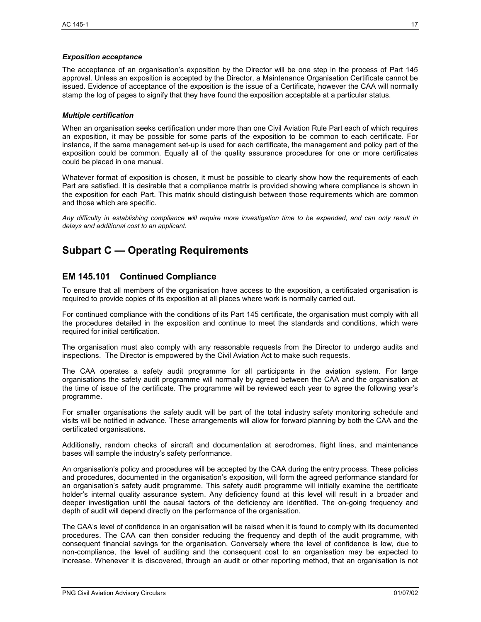#### *Exposition acceptance*

The acceptance of an organisation's exposition by the Director will be one step in the process of Part 145 approval. Unless an exposition is accepted by the Director, a Maintenance Organisation Certificate cannot be issued. Evidence of acceptance of the exposition is the issue of a Certificate, however the CAA will normally stamp the log of pages to signify that they have found the exposition acceptable at a particular status.

#### *Multiple certification*

When an organisation seeks certification under more than one Civil Aviation Rule Part each of which requires an exposition, it may be possible for some parts of the exposition to be common to each certificate. For instance, if the same management set-up is used for each certificate, the management and policy part of the exposition could be common. Equally all of the quality assurance procedures for one or more certificates could be placed in one manual.

Whatever format of exposition is chosen, it must be possible to clearly show how the requirements of each Part are satisfied. It is desirable that a compliance matrix is provided showing where compliance is shown in the exposition for each Part. This matrix should distinguish between those requirements which are common and those which are specific.

*Any difficulty in establishing compliance will require more investigation time to be expended, and can only result in delays and additional cost to an applicant.* 

# **Subpart C — Operating Requirements**

## **EM 145.101 Continued Compliance**

To ensure that all members of the organisation have access to the exposition, a certificated organisation is required to provide copies of its exposition at all places where work is normally carried out.

For continued compliance with the conditions of its Part 145 certificate, the organisation must comply with all the procedures detailed in the exposition and continue to meet the standards and conditions, which were required for initial certification.

The organisation must also comply with any reasonable requests from the Director to undergo audits and inspections. The Director is empowered by the Civil Aviation Act to make such requests.

The CAA operates a safety audit programme for all participants in the aviation system. For large organisations the safety audit programme will normally by agreed between the CAA and the organisation at the time of issue of the certificate. The programme will be reviewed each year to agree the following year's programme.

For smaller organisations the safety audit will be part of the total industry safety monitoring schedule and visits will be notified in advance. These arrangements will allow for forward planning by both the CAA and the certificated organisations.

Additionally, random checks of aircraft and documentation at aerodromes, flight lines, and maintenance bases will sample the industry's safety performance.

An organisation's policy and procedures will be accepted by the CAA during the entry process. These policies and procedures, documented in the organisation's exposition, will form the agreed performance standard for an organisation's safety audit programme. This safety audit programme will initially examine the certificate holder's internal quality assurance system. Any deficiency found at this level will result in a broader and deeper investigation until the causal factors of the deficiency are identified. The on-going frequency and depth of audit will depend directly on the performance of the organisation.

The CAA's level of confidence in an organisation will be raised when it is found to comply with its documented procedures. The CAA can then consider reducing the frequency and depth of the audit programme, with consequent financial savings for the organisation. Conversely where the level of confidence is low, due to non-compliance, the level of auditing and the consequent cost to an organisation may be expected to increase. Whenever it is discovered, through an audit or other reporting method, that an organisation is not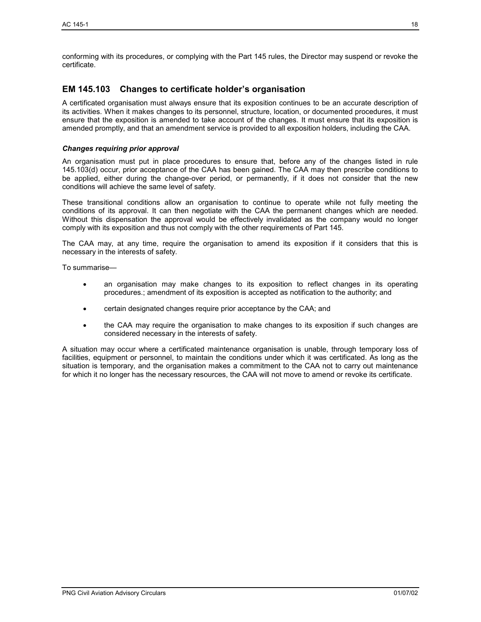conforming with its procedures, or complying with the Part 145 rules, the Director may suspend or revoke the certificate.

## **EM 145.103 Changes to certificate holder's organisation**

A certificated organisation must always ensure that its exposition continues to be an accurate description of its activities. When it makes changes to its personnel, structure, location, or documented procedures, it must ensure that the exposition is amended to take account of the changes. It must ensure that its exposition is amended promptly, and that an amendment service is provided to all exposition holders, including the CAA.

#### *Changes requiring prior approval*

An organisation must put in place procedures to ensure that, before any of the changes listed in rule 145.103(d) occur, prior acceptance of the CAA has been gained. The CAA may then prescribe conditions to be applied, either during the change-over period, or permanently, if it does not consider that the new conditions will achieve the same level of safety.

These transitional conditions allow an organisation to continue to operate while not fully meeting the conditions of its approval. It can then negotiate with the CAA the permanent changes which are needed. Without this dispensation the approval would be effectively invalidated as the company would no longer comply with its exposition and thus not comply with the other requirements of Part 145.

The CAA may, at any time, require the organisation to amend its exposition if it considers that this is necessary in the interests of safety.

To summarise—

- an organisation may make changes to its exposition to reflect changes in its operating procedures.; amendment of its exposition is accepted as notification to the authority; and
- certain designated changes require prior acceptance by the CAA; and
- the CAA may require the organisation to make changes to its exposition if such changes are considered necessary in the interests of safety.

A situation may occur where a certificated maintenance organisation is unable, through temporary loss of facilities, equipment or personnel, to maintain the conditions under which it was certificated. As long as the situation is temporary, and the organisation makes a commitment to the CAA not to carry out maintenance for which it no longer has the necessary resources, the CAA will not move to amend or revoke its certificate.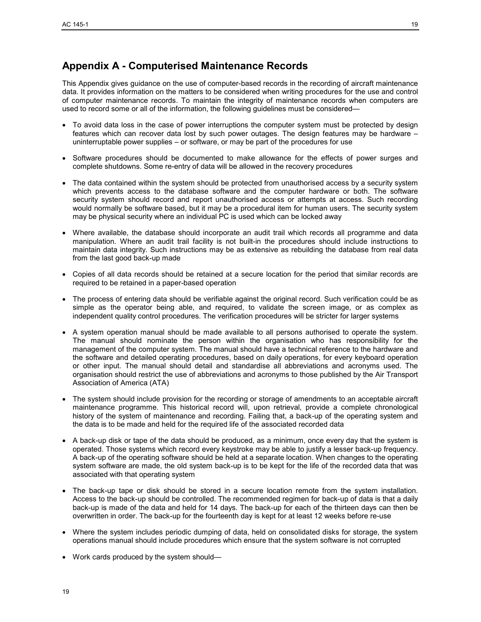## **Appendix A - Computerised Maintenance Records**

This Appendix gives guidance on the use of computer-based records in the recording of aircraft maintenance data. It provides information on the matters to be considered when writing procedures for the use and control of computer maintenance records. To maintain the integrity of maintenance records when computers are used to record some or all of the information, the following guidelines must be considered—

- To avoid data loss in the case of power interruptions the computer system must be protected by design features which can recover data lost by such power outages. The design features may be hardware – uninterruptable power supplies – or software, or may be part of the procedures for use
- Software procedures should be documented to make allowance for the effects of power surges and complete shutdowns. Some re-entry of data will be allowed in the recovery procedures
- The data contained within the system should be protected from unauthorised access by a security system which prevents access to the database software and the computer hardware or both. The software security system should record and report unauthorised access or attempts at access. Such recording would normally be software based, but it may be a procedural item for human users. The security system may be physical security where an individual PC is used which can be locked away
- Where available, the database should incorporate an audit trail which records all programme and data manipulation. Where an audit trail facility is not built-in the procedures should include instructions to maintain data integrity. Such instructions may be as extensive as rebuilding the database from real data from the last good back-up made
- Copies of all data records should be retained at a secure location for the period that similar records are required to be retained in a paper-based operation
- The process of entering data should be verifiable against the original record. Such verification could be as simple as the operator being able, and required, to validate the screen image, or as complex as independent quality control procedures. The verification procedures will be stricter for larger systems
- A system operation manual should be made available to all persons authorised to operate the system. The manual should nominate the person within the organisation who has responsibility for the management of the computer system. The manual should have a technical reference to the hardware and the software and detailed operating procedures, based on daily operations, for every keyboard operation or other input. The manual should detail and standardise all abbreviations and acronyms used. The organisation should restrict the use of abbreviations and acronyms to those published by the Air Transport Association of America (ATA)
- The system should include provision for the recording or storage of amendments to an acceptable aircraft maintenance programme. This historical record will, upon retrieval, provide a complete chronological history of the system of maintenance and recording. Failing that, a back-up of the operating system and the data is to be made and held for the required life of the associated recorded data
- A back-up disk or tape of the data should be produced, as a minimum, once every day that the system is operated. Those systems which record every keystroke may be able to justify a lesser back-up frequency. A back-up of the operating software should be held at a separate location. When changes to the operating system software are made, the old system back-up is to be kept for the life of the recorded data that was associated with that operating system
- The back-up tape or disk should be stored in a secure location remote from the system installation. Access to the back-up should be controlled. The recommended regimen for back-up of data is that a daily back-up is made of the data and held for 14 days. The back-up for each of the thirteen days can then be overwritten in order. The back-up for the fourteenth day is kept for at least 12 weeks before re-use
- Where the system includes periodic dumping of data, held on consolidated disks for storage, the system operations manual should include procedures which ensure that the system software is not corrupted
- Work cards produced by the system should—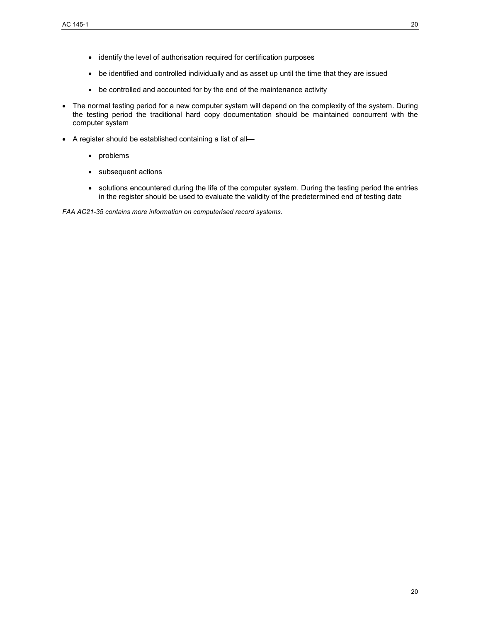- identify the level of authorisation required for certification purposes
- be identified and controlled individually and as asset up until the time that they are issued
- be controlled and accounted for by the end of the maintenance activity
- The normal testing period for a new computer system will depend on the complexity of the system. During the testing period the traditional hard copy documentation should be maintained concurrent with the computer system
- A register should be established containing a list of all—
	- problems
	- subsequent actions
	- solutions encountered during the life of the computer system. During the testing period the entries in the register should be used to evaluate the validity of the predetermined end of testing date

*FAA AC21-35 contains more information on computerised record systems.*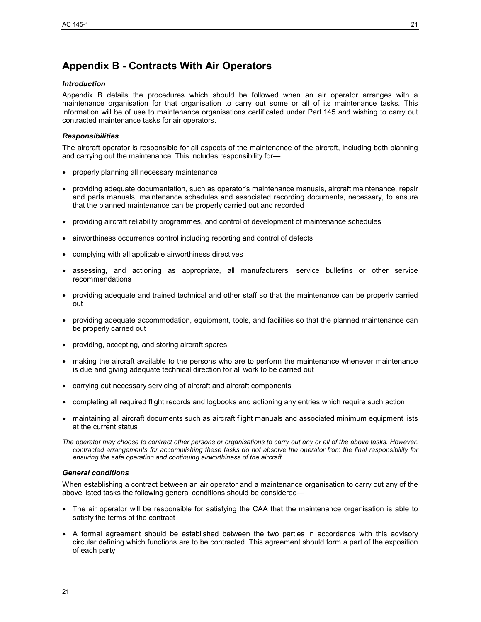# **Appendix B - Contracts With Air Operators**

#### *Introduction*

Appendix B details the procedures which should be followed when an air operator arranges with a maintenance organisation for that organisation to carry out some or all of its maintenance tasks. This information will be of use to maintenance organisations certificated under Part 145 and wishing to carry out contracted maintenance tasks for air operators.

#### *Responsibilities*

The aircraft operator is responsible for all aspects of the maintenance of the aircraft, including both planning and carrying out the maintenance. This includes responsibility for—

- properly planning all necessary maintenance
- providing adequate documentation, such as operator's maintenance manuals, aircraft maintenance, repair and parts manuals, maintenance schedules and associated recording documents, necessary, to ensure that the planned maintenance can be properly carried out and recorded
- providing aircraft reliability programmes, and control of development of maintenance schedules
- airworthiness occurrence control including reporting and control of defects
- complying with all applicable airworthiness directives
- assessing, and actioning as appropriate, all manufacturers' service bulletins or other service recommendations
- providing adequate and trained technical and other staff so that the maintenance can be properly carried out
- providing adequate accommodation, equipment, tools, and facilities so that the planned maintenance can be properly carried out
- providing, accepting, and storing aircraft spares
- making the aircraft available to the persons who are to perform the maintenance whenever maintenance is due and giving adequate technical direction for all work to be carried out
- carrying out necessary servicing of aircraft and aircraft components
- completing all required flight records and logbooks and actioning any entries which require such action
- maintaining all aircraft documents such as aircraft flight manuals and associated minimum equipment lists at the current status

*The operator may choose to contract other persons or organisations to carry out any or all of the above tasks. However, contracted arrangements for accomplishing these tasks do not absolve the operator from the final responsibility for ensuring the safe operation and continuing airworthiness of the aircraft.* 

#### *General conditions*

When establishing a contract between an air operator and a maintenance organisation to carry out any of the above listed tasks the following general conditions should be considered—

- The air operator will be responsible for satisfying the CAA that the maintenance organisation is able to satisfy the terms of the contract
- A formal agreement should be established between the two parties in accordance with this advisory circular defining which functions are to be contracted. This agreement should form a part of the exposition of each party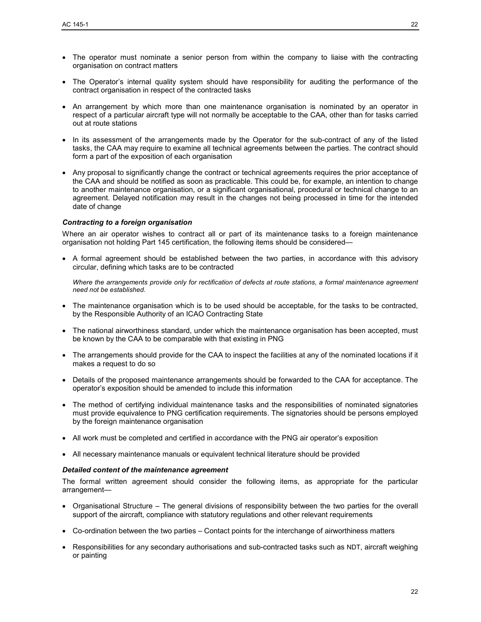- The operator must nominate a senior person from within the company to liaise with the contracting organisation on contract matters
- The Operator's internal quality system should have responsibility for auditing the performance of the contract organisation in respect of the contracted tasks
- An arrangement by which more than one maintenance organisation is nominated by an operator in respect of a particular aircraft type will not normally be acceptable to the CAA, other than for tasks carried out at route stations
- In its assessment of the arrangements made by the Operator for the sub-contract of any of the listed tasks, the CAA may require to examine all technical agreements between the parties. The contract should form a part of the exposition of each organisation
- Any proposal to significantly change the contract or technical agreements requires the prior acceptance of the CAA and should be notified as soon as practicable. This could be, for example, an intention to change to another maintenance organisation, or a significant organisational, procedural or technical change to an agreement. Delayed notification may result in the changes not being processed in time for the intended date of change

#### *Contracting to a foreign organisation*

Where an air operator wishes to contract all or part of its maintenance tasks to a foreign maintenance organisation not holding Part 145 certification, the following items should be considered—

• A formal agreement should be established between the two parties, in accordance with this advisory circular, defining which tasks are to be contracted

*Where the arrangements provide only for rectification of defects at route stations, a formal maintenance agreement need not be established.*

- The maintenance organisation which is to be used should be acceptable, for the tasks to be contracted, by the Responsible Authority of an ICAO Contracting State
- The national airworthiness standard, under which the maintenance organisation has been accepted, must be known by the CAA to be comparable with that existing in PNG
- The arrangements should provide for the CAA to inspect the facilities at any of the nominated locations if it makes a request to do so
- Details of the proposed maintenance arrangements should be forwarded to the CAA for acceptance. The operator's exposition should be amended to include this information
- The method of certifying individual maintenance tasks and the responsibilities of nominated signatories must provide equivalence to PNG certification requirements. The signatories should be persons employed by the foreign maintenance organisation
- All work must be completed and certified in accordance with the PNG air operator's exposition
- All necessary maintenance manuals or equivalent technical literature should be provided

#### *Detailed content of the maintenance agreement*

The formal written agreement should consider the following items, as appropriate for the particular arrangement—

- Organisational Structure The general divisions of responsibility between the two parties for the overall support of the aircraft, compliance with statutory regulations and other relevant requirements
- Co-ordination between the two parties Contact points for the interchange of airworthiness matters
- Responsibilities for any secondary authorisations and sub-contracted tasks such as NDT, aircraft weighing or painting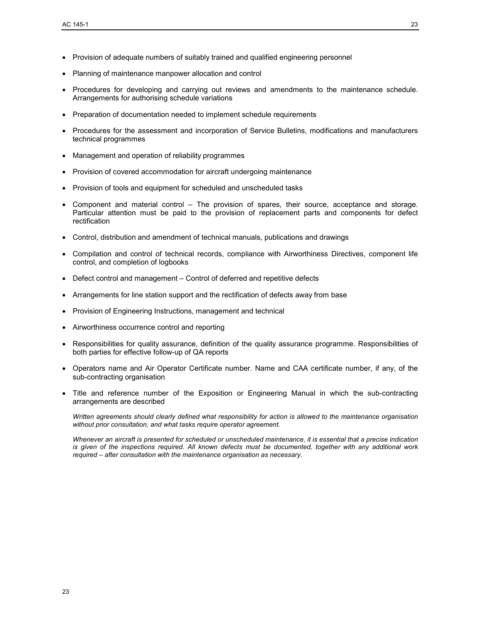- Provision of adequate numbers of suitably trained and qualified engineering personnel
- Planning of maintenance manpower allocation and control
- Procedures for developing and carrying out reviews and amendments to the maintenance schedule. Arrangements for authorising schedule variations
- Preparation of documentation needed to implement schedule requirements
- Procedures for the assessment and incorporation of Service Bulletins, modifications and manufacturers technical programmes
- Management and operation of reliability programmes
- Provision of covered accommodation for aircraft undergoing maintenance
- Provision of tools and equipment for scheduled and unscheduled tasks
- Component and material control The provision of spares, their source, acceptance and storage. Particular attention must be paid to the provision of replacement parts and components for defect rectification
- Control, distribution and amendment of technical manuals, publications and drawings
- Compilation and control of technical records, compliance with Airworthiness Directives, component life control, and completion of logbooks
- Defect control and management Control of deferred and repetitive defects
- Arrangements for line station support and the rectification of defects away from base
- Provision of Engineering Instructions, management and technical
- Airworthiness occurrence control and reporting
- Responsibilities for quality assurance, definition of the quality assurance programme. Responsibilities of both parties for effective follow-up of QA reports
- Operators name and Air Operator Certificate number. Name and CAA certificate number, if any, of the sub-contracting organisation
- Title and reference number of the Exposition or Engineering Manual in which the sub-contracting arrangements are described

*Written agreements should clearly defined what responsibility for action is allowed to the maintenance organisation without prior consultation, and what tasks require operator agreement.*

*Whenever an aircraft is presented for scheduled or unscheduled maintenance, it is essential that a precise indication is given of the inspections required. All known defects must be documented, together with any additional work required – after consultation with the maintenance organisation as necessary.*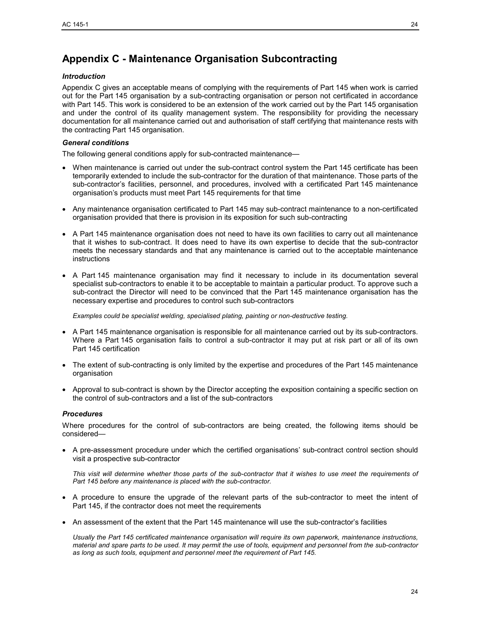# **Appendix C - Maintenance Organisation Subcontracting**

#### *Introduction*

Appendix C gives an acceptable means of complying with the requirements of Part 145 when work is carried out for the Part 145 organisation by a sub-contracting organisation or person not certificated in accordance with Part 145. This work is considered to be an extension of the work carried out by the Part 145 organisation and under the control of its quality management system. The responsibility for providing the necessary documentation for all maintenance carried out and authorisation of staff certifying that maintenance rests with the contracting Part 145 organisation.

#### *General conditions*

The following general conditions apply for sub-contracted maintenance—

- When maintenance is carried out under the sub-contract control system the Part 145 certificate has been temporarily extended to include the sub-contractor for the duration of that maintenance. Those parts of the sub-contractor's facilities, personnel, and procedures, involved with a certificated Part 145 maintenance organisation's products must meet Part 145 requirements for that time
- Any maintenance organisation certificated to Part 145 may sub-contract maintenance to a non-certificated organisation provided that there is provision in its exposition for such sub-contracting
- A Part 145 maintenance organisation does not need to have its own facilities to carry out all maintenance that it wishes to sub-contract. It does need to have its own expertise to decide that the sub-contractor meets the necessary standards and that any maintenance is carried out to the acceptable maintenance instructions
- A Part 145 maintenance organisation may find it necessary to include in its documentation several specialist sub-contractors to enable it to be acceptable to maintain a particular product. To approve such a sub-contract the Director will need to be convinced that the Part 145 maintenance organisation has the necessary expertise and procedures to control such sub-contractors

*Examples could be specialist welding, specialised plating, painting or non-destructive testing.*

- A Part 145 maintenance organisation is responsible for all maintenance carried out by its sub-contractors. Where a Part 145 organisation fails to control a sub-contractor it may put at risk part or all of its own Part 145 certification
- The extent of sub-contracting is only limited by the expertise and procedures of the Part 145 maintenance organisation
- Approval to sub-contract is shown by the Director accepting the exposition containing a specific section on the control of sub-contractors and a list of the sub-contractors

#### *Procedures*

Where procedures for the control of sub-contractors are being created, the following items should be considered—

• A pre-assessment procedure under which the certified organisations' sub-contract control section should visit a prospective sub-contractor

*This visit will determine whether those parts of the sub-contractor that it wishes to use meet the requirements of Part 145 before any maintenance is placed with the sub-contractor.*

- A procedure to ensure the upgrade of the relevant parts of the sub-contractor to meet the intent of Part 145, if the contractor does not meet the requirements
- An assessment of the extent that the Part 145 maintenance will use the sub-contractor's facilities

*Usually the Part 145 certificated maintenance organisation will require its own paperwork, maintenance instructions, material and spare parts to be used. It may permit the use of tools, equipment and personnel from the sub-contractor as long as such tools, equipment and personnel meet the requirement of Part 145.*